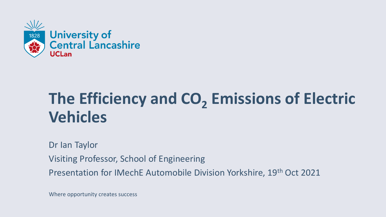

# **The Efficiency and CO<sup>2</sup> Emissions of Electric Vehicles**

Dr Ian Taylor Visiting Professor, School of Engineering Presentation for IMechE Automobile Division Yorkshire, 19th Oct 2021

Where opportunity creates success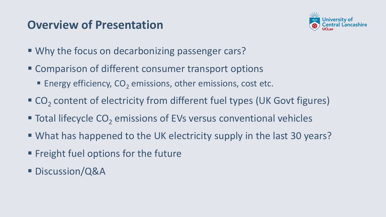#### **Overview of Presentation**



- Why the focus on decarbonizing passenger cars?
- Comparison of different consumer transport options
	- **Energy efficiency, CO<sub>2</sub> emissions, other emissions, cost etc.**
- CO<sub>2</sub> content of electricity from different fuel types (UK Govt figures)
- Total lifecycle CO<sub>2</sub> emissions of EVs versus conventional vehicles
- What has happened to the UK electricity supply in the last 30 years?
- **Example 1 Freight fuel options for the future**
- Discussion/Q&A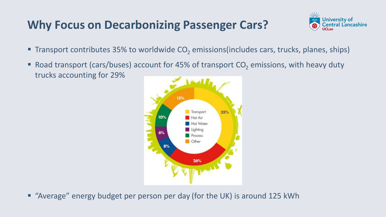#### **Why Focus on Decarbonizing Passenger Cars?**



- **The Transport contributes 35% to worldwide CO<sub>2</sub> emissions (includes cars, trucks, planes, ships)**
- **E** Road transport (cars/buses) account for 45% of transport  $CO<sub>2</sub>$  emissions, with heavy duty trucks accounting for 29%



■ "Average" energy budget per person per day (for the UK) is around 125 kWh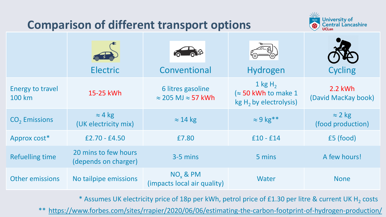#### **Comparison of different transport options**



|                                   | <b>Electric</b>                              | ் ூ<br>Conventional                                    | Hydrogen                                                             | <b>Cycling</b>                      |
|-----------------------------------|----------------------------------------------|--------------------------------------------------------|----------------------------------------------------------------------|-------------------------------------|
| <b>Energy to travel</b><br>100 km | 15-25 kWh                                    | 6 litres gasoline<br>$\approx$ 205 MJ $\approx$ 57 kWh | 1 kg $H_2$<br>$\approx$ 50 kWh to make 1<br>$kg H2$ by electrolysis) | 2.2 kWh<br>(David MacKay book)      |
| CO <sub>2</sub> Emissions         | $\approx$ 4 kg<br>(UK electricity mix)       | $\approx$ 14 kg                                        | $\approx$ 9 kg**                                                     | $\approx$ 2 kg<br>(food production) |
| Approx cost*                      | $£2.70 - £4.50$                              | £7.80                                                  | $£10 - £14$                                                          | £5 (food)                           |
| <b>Refuelling time</b>            | 20 mins to few hours<br>(depends on charger) | $3-5$ mins                                             | 5 mins                                                               | A few hours!                        |
| <b>Other emissions</b>            | No tailpipe emissions                        | $NO_x$ & PM<br>(impacts local air quality)             | Water                                                                | <b>None</b>                         |

 $^{\ast}$  Assumes UK electricity price of 18p per kWh, petrol price of £1.30 per litre & current UK H<sub>2</sub> costs

\*\* <https://www.forbes.com/sites/rrapier/2020/06/06/estimating-the-carbon-footprint-of-hydrogen-production/>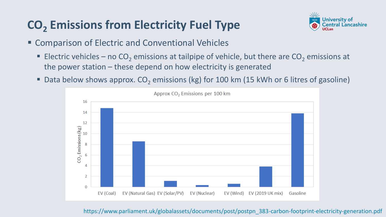## **CO<sup>2</sup> Emissions from Electricity Fuel Type**



- Comparison of Electric and Conventional Vehicles
	- **Electric vehicles no CO<sub>2</sub> emissions at tailpipe of vehicle, but there are CO<sub>2</sub> emissions at** the power station – these depend on how electricity is generated
	- Data below shows approx. CO<sub>2</sub> emissions (kg) for 100 km (15 kWh or 6 litres of gasoline)



https://www.parliament.uk/globalassets/documents/post/postpn\_383-carbon-footprint-electricity-generation.pdf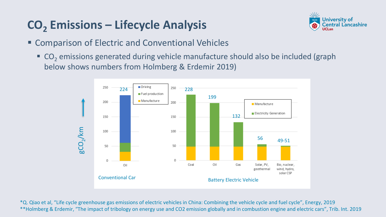## **CO<sup>2</sup> Emissions – Lifecycle Analysis**



- Comparison of Electric and Conventional Vehicles
	- $\blacksquare$  CO<sub>2</sub> emissions generated during vehicle manufacture should also be included (graph below shows numbers from Holmberg & Erdemir 2019)



\*Q. Qiao et al, "Life cycle greenhouse gas emissions of electric vehicles in China: Combining the vehicle cycle and fuel cycle", Energy, 2019 \*\*Holmberg & Erdemir, "The impact of tribology on energy use and CO2 emission globally and in combustion engine and electric cars", Trib. Int. 2019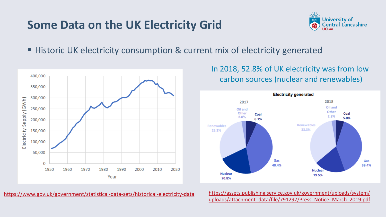#### **Some Data on the UK Electricity Grid**



■ Historic UK electricity consumption & current mix of electricity generated



In 2018, 52.8% of UK electricity was from low carbon sources (nuclear and renewables)



<https://www.gov.uk/government/statistical-data-sets/historical-electricity-data> [https://assets.publishing.service.gov.uk/government/uploads/system/](https://assets.publishing.service.gov.uk/government/uploads/system/uploads/attachment_data/file/791297/Press_Notice_March_2019.pdf)

[uploads/attachment\\_data/file/791297/Press\\_Notice\\_March\\_2019.pdf](https://assets.publishing.service.gov.uk/government/uploads/system/uploads/attachment_data/file/791297/Press_Notice_March_2019.pdf)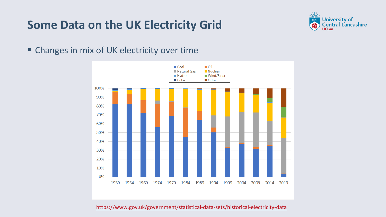#### **Some Data on the UK Electricity Grid**



■ Changes in mix of UK electricity over time



<https://www.gov.uk/government/statistical-data-sets/historical-electricity-data>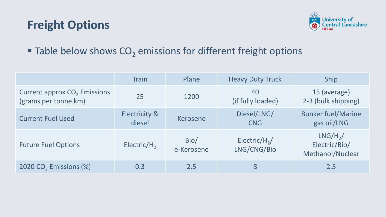#### **Freight Options**



#### $\blacksquare$  Table below shows CO<sub>2</sub> emissions for different freight options

|                                                        | <b>Train</b>            | Plane              | <b>Heavy Duty Truck</b>                  | Ship                                            |
|--------------------------------------------------------|-------------------------|--------------------|------------------------------------------|-------------------------------------------------|
| Current approx $CO2$ Emissions<br>(grams per tonne km) | 25                      | 1200               | 40<br>(if fully loaded)                  | 15 (average)<br>2-3 (bulk shipping)             |
| <b>Current Fuel Used</b>                               | Electricity &<br>diesel | Kerosene           | Diesel/LNG/<br><b>CNG</b>                | <b>Bunker fuel/Marine</b><br>gas oil/LNG        |
| <b>Future Fuel Options</b>                             | Electric/ $H_2$         | Bio/<br>e-Kerosene | Electric/H <sub>2</sub> /<br>LNG/CNG/Bio | $LNG/H2$ /<br>Electric/Bio/<br>Methanol/Nuclear |
| 2020 CO <sub>2</sub> Emissions (%)                     | 0.3                     | 2.5                | 8                                        | 2.5                                             |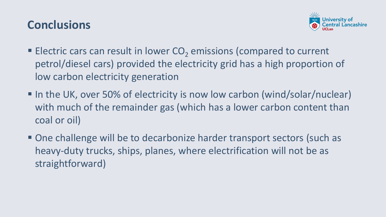#### **Conclusions**



- **Electric cars can result in lower CO<sub>2</sub> emissions (compared to current** petrol/diesel cars) provided the electricity grid has a high proportion of low carbon electricity generation
- In the UK, over 50% of electricity is now low carbon (wind/solar/nuclear) with much of the remainder gas (which has a lower carbon content than coal or oil)
- One challenge will be to decarbonize harder transport sectors (such as heavy-duty trucks, ships, planes, where electrification will not be as straightforward)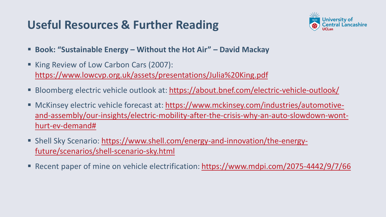### **Useful Resources & Further Reading**



- **Book: "Sustainable Energy – Without the Hot Air" – David Mackay**
- King Review of Low Carbon Cars (2007): <https://www.lowcvp.org.uk/assets/presentations/Julia%20King.pdf>
- Bloomberg electric vehicle outlook at:<https://about.bnef.com/electric-vehicle-outlook/>
- McKinsey electric vehicle forecast at: https://www.mckinsey.com/industries/automotive[and-assembly/our-insights/electric-mobility-after-the-crisis-why-an-auto-slowdown-wont](https://www.mckinsey.com/industries/automotive-and-assembly/our-insights/electric-mobility-after-the-crisis-why-an-auto-slowdown-wont-hurt-ev-demand)hurt-ev-demand#
- [Shell Sky Scenario: https://www.shell.com/energy-and-innovation/the-energy](https://www.shell.com/energy-and-innovation/the-energy-future/scenarios/shell-scenario-sky.html)future/scenarios/shell-scenario-sky.html
- Recent paper of mine on vehicle electrification:<https://www.mdpi.com/2075-4442/9/7/66>